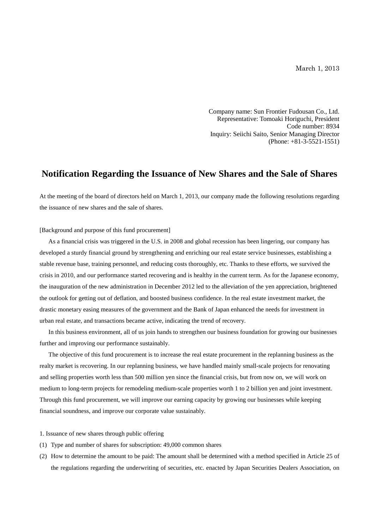March 1, 2013

Company name: Sun Frontier Fudousan Co., Ltd. Representative: Tomoaki Horiguchi, President Code number: 8934 Inquiry: Seiichi Saito, Senior Managing Director (Phone: +81-3-5521-1551)

## **Notification Regarding the Issuance of New Shares and the Sale of Shares**

At the meeting of the board of directors held on March 1, 2013, our company made the following resolutions regarding the issuance of new shares and the sale of shares.

[Background and purpose of this fund procurement]

As a financial crisis was triggered in the U.S. in 2008 and global recession has been lingering, our company has developed a sturdy financial ground by strengthening and enriching our real estate service businesses, establishing a stable revenue base, training personnel, and reducing costs thoroughly, etc. Thanks to these efforts, we survived the crisis in 2010, and our performance started recovering and is healthy in the current term. As for the Japanese economy, the inauguration of the new administration in December 2012 led to the alleviation of the yen appreciation, brightened the outlook for getting out of deflation, and boosted business confidence. In the real estate investment market, the drastic monetary easing measures of the government and the Bank of Japan enhanced the needs for investment in urban real estate, and transactions became active, indicating the trend of recovery.

In this business environment, all of us join hands to strengthen our business foundation for growing our businesses further and improving our performance sustainably.

The objective of this fund procurement is to increase the real estate procurement in the replanning business as the realty market is recovering. In our replanning business, we have handled mainly small-scale projects for renovating and selling properties worth less than 500 million yen since the financial crisis, but from now on, we will work on medium to long-term projects for remodeling medium-scale properties worth 1 to 2 billion yen and joint investment. Through this fund procurement, we will improve our earning capacity by growing our businesses while keeping financial soundness, and improve our corporate value sustainably.

1. Issuance of new shares through public offering

- (1) Type and number of shares for subscription: 49,000 common shares
- (2) How to determine the amount to be paid: The amount shall be determined with a method specified in Article 25 of the regulations regarding the underwriting of securities, etc. enacted by Japan Securities Dealers Association, on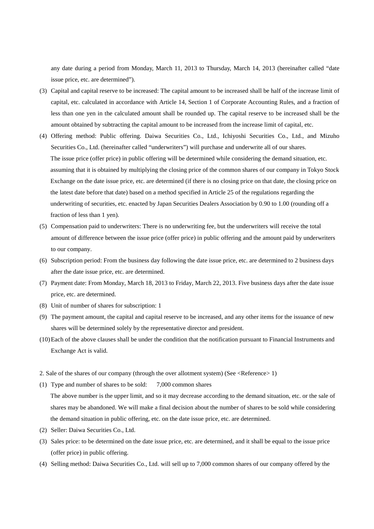any date during a period from Monday, March 11, 2013 to Thursday, March 14, 2013 (hereinafter called "date issue price, etc. are determined").

- (3) Capital and capital reserve to be increased: The capital amount to be increased shall be half of the increase limit of capital, etc. calculated in accordance with Article 14, Section 1 of Corporate Accounting Rules, and a fraction of less than one yen in the calculated amount shall be rounded up. The capital reserve to be increased shall be the amount obtained by subtracting the capital amount to be increased from the increase limit of capital, etc.
- (4) Offering method: Public offering. Daiwa Securities Co., Ltd., Ichiyoshi Securities Co., Ltd., and Mizuho Securities Co., Ltd. (hereinafter called "underwriters") will purchase and underwrite all of our shares. The issue price (offer price) in public offering will be determined while considering the demand situation, etc. assuming that it is obtained by multiplying the closing price of the common shares of our company in Tokyo Stock Exchange on the date issue price, etc. are determined (if there is no closing price on that date, the closing price on the latest date before that date) based on a method specified in Article 25 of the regulations regarding the underwriting of securities, etc. enacted by Japan Securities Dealers Association by 0.90 to 1.00 (rounding off a fraction of less than 1 yen).
- (5) Compensation paid to underwriters: There is no underwriting fee, but the underwriters will receive the total amount of difference between the issue price (offer price) in public offering and the amount paid by underwriters to our company.
- (6) Subscription period: From the business day following the date issue price, etc. are determined to 2 business days after the date issue price, etc. are determined.
- (7) Payment date: From Monday, March 18, 2013 to Friday, March 22, 2013. Five business days after the date issue price, etc. are determined.
- (8) Unit of number of shares for subscription: 1
- (9) The payment amount, the capital and capital reserve to be increased, and any other items for the issuance of new shares will be determined solely by the representative director and president.
- (10)Each of the above clauses shall be under the condition that the notification pursuant to Financial Instruments and Exchange Act is valid.
- 2. Sale of the shares of our company (through the over allotment system) (See <Reference> 1)
- (1) Type and number of shares to be sold: 7,000 common shares

The above number is the upper limit, and so it may decrease according to the demand situation, etc. or the sale of shares may be abandoned. We will make a final decision about the number of shares to be sold while considering the demand situation in public offering, etc. on the date issue price, etc. are determined.

- (2) Seller: Daiwa Securities Co., Ltd.
- (3) Sales price: to be determined on the date issue price, etc. are determined, and it shall be equal to the issue price (offer price) in public offering.
- (4) Selling method: Daiwa Securities Co., Ltd. will sell up to 7,000 common shares of our company offered by the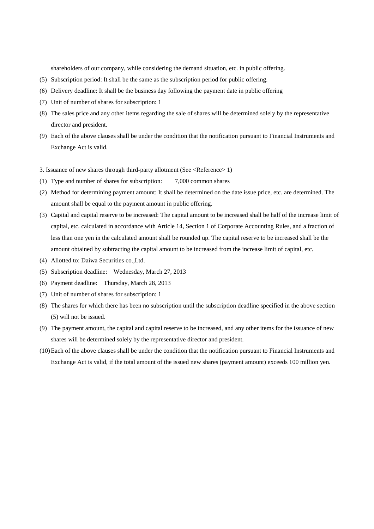shareholders of our company, while considering the demand situation, etc. in public offering.

- (5) Subscription period: It shall be the same as the subscription period for public offering.
- (6) Delivery deadline: It shall be the business day following the payment date in public offering
- (7) Unit of number of shares for subscription: 1
- (8) The sales price and any other items regarding the sale of shares will be determined solely by the representative director and president.
- (9) Each of the above clauses shall be under the condition that the notification pursuant to Financial Instruments and Exchange Act is valid.
- 3. Issuance of new shares through third-party allotment (See <Reference> 1)
- (1) Type and number of shares for subscription: 7,000 common shares
- (2) Method for determining payment amount: It shall be determined on the date issue price, etc. are determined. The amount shall be equal to the payment amount in public offering.
- (3) Capital and capital reserve to be increased: The capital amount to be increased shall be half of the increase limit of capital, etc. calculated in accordance with Article 14, Section 1 of Corporate Accounting Rules, and a fraction of less than one yen in the calculated amount shall be rounded up. The capital reserve to be increased shall be the amount obtained by subtracting the capital amount to be increased from the increase limit of capital, etc.
- (4) Allotted to: Daiwa Securities co.,Ltd.
- (5) Subscription deadline: Wednesday, March 27, 2013
- (6) Payment deadline: Thursday, March 28, 2013
- (7) Unit of number of shares for subscription: 1
- (8) The shares for which there has been no subscription until the subscription deadline specified in the above section (5) will not be issued.
- (9) The payment amount, the capital and capital reserve to be increased, and any other items for the issuance of new shares will be determined solely by the representative director and president.
- (10)Each of the above clauses shall be under the condition that the notification pursuant to Financial Instruments and Exchange Act is valid, if the total amount of the issued new shares (payment amount) exceeds 100 million yen.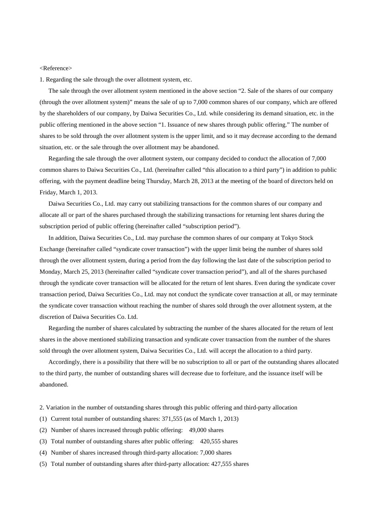## <Reference>

1. Regarding the sale through the over allotment system, etc.

The sale through the over allotment system mentioned in the above section "2. Sale of the shares of our company (through the over allotment system)" means the sale of up to 7,000 common shares of our company, which are offered by the shareholders of our company, by Daiwa Securities Co., Ltd. while considering its demand situation, etc. in the public offering mentioned in the above section "1. Issuance of new shares through public offering." The number of shares to be sold through the over allotment system is the upper limit, and so it may decrease according to the demand situation, etc. or the sale through the over allotment may be abandoned.

Regarding the sale through the over allotment system, our company decided to conduct the allocation of 7,000 common shares to Daiwa Securities Co., Ltd. (hereinafter called "this allocation to a third party") in addition to public offering, with the payment deadline being Thursday, March 28, 2013 at the meeting of the board of directors held on Friday, March 1, 2013.

Daiwa Securities Co., Ltd. may carry out stabilizing transactions for the common shares of our company and allocate all or part of the shares purchased through the stabilizing transactions for returning lent shares during the subscription period of public offering (hereinafter called "subscription period").

In addition, Daiwa Securities Co., Ltd. may purchase the common shares of our company at Tokyo Stock Exchange (hereinafter called "syndicate cover transaction") with the upper limit being the number of shares sold through the over allotment system, during a period from the day following the last date of the subscription period to Monday, March 25, 2013 (hereinafter called "syndicate cover transaction period"), and all of the shares purchased through the syndicate cover transaction will be allocated for the return of lent shares. Even during the syndicate cover transaction period, Daiwa Securities Co., Ltd. may not conduct the syndicate cover transaction at all, or may terminate the syndicate cover transaction without reaching the number of shares sold through the over allotment system, at the discretion of Daiwa Securities Co. Ltd.

Regarding the number of shares calculated by subtracting the number of the shares allocated for the return of lent shares in the above mentioned stabilizing transaction and syndicate cover transaction from the number of the shares sold through the over allotment system, Daiwa Securities Co., Ltd. will accept the allocation to a third party.

Accordingly, there is a possibility that there will be no subscription to all or part of the outstanding shares allocated to the third party, the number of outstanding shares will decrease due to forfeiture, and the issuance itself will be abandoned.

- 2. Variation in the number of outstanding shares through this public offering and third-party allocation
- (1) Current total number of outstanding shares: 371,555 (as of March 1, 2013)
- (2) Number of shares increased through public offering: 49,000 shares
- (3) Total number of outstanding shares after public offering: 420,555 shares
- (4) Number of shares increased through third-party allocation: 7,000 shares
- (5) Total number of outstanding shares after third-party allocation: 427,555 shares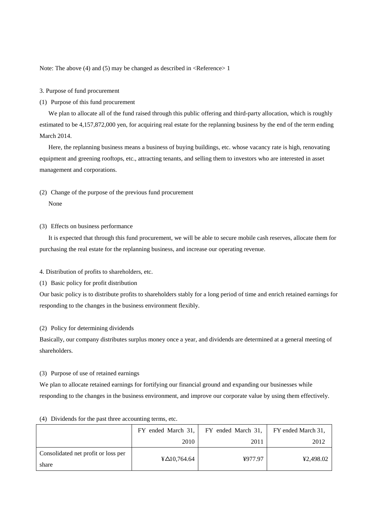Note: The above (4) and (5) may be changed as described in <Reference> 1

- 3. Purpose of fund procurement
- (1) Purpose of this fund procurement

We plan to allocate all of the fund raised through this public offering and third-party allocation, which is roughly estimated to be 4,157,872,000 yen, for acquiring real estate for the replanning business by the end of the term ending March 2014.

Here, the replanning business means a business of buying buildings, etc. whose vacancy rate is high, renovating equipment and greening rooftops, etc., attracting tenants, and selling them to investors who are interested in asset management and corporations.

(2) Change of the purpose of the previous fund procurement

None

(3) Effects on business performance

It is expected that through this fund procurement, we will be able to secure mobile cash reserves, allocate them for purchasing the real estate for the replanning business, and increase our operating revenue.

4. Distribution of profits to shareholders, etc.

(1) Basic policy for profit distribution

Our basic policy is to distribute profits to shareholders stably for a long period of time and enrich retained earnings for responding to the changes in the business environment flexibly.

(2) Policy for determining dividends

Basically, our company distributes surplus money once a year, and dividends are determined at a general meeting of shareholders.

(3) Purpose of use of retained earnings

We plan to allocate retained earnings for fortifying our financial ground and expanding our businesses while responding to the changes in the business environment, and improve our corporate value by using them effectively.

|                                              | FY ended March 31,                      | FY ended March 31, | FY ended March 31, |
|----------------------------------------------|-----------------------------------------|--------------------|--------------------|
|                                              | 2010                                    | 2011               | 2012               |
| Consolidated net profit or loss per<br>share | $\text{\textsterling} \Delta 10,764.64$ | ¥977.97            | ¥2,498.02          |

(4) Dividends for the past three accounting terms, etc.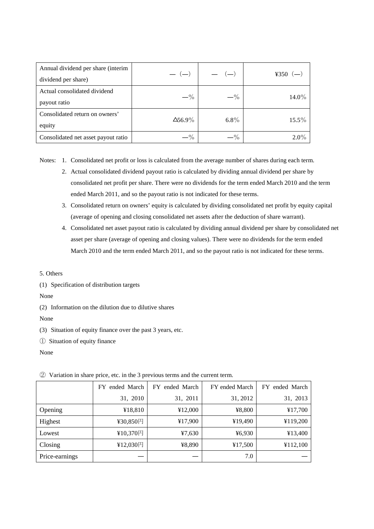| Annual dividend per share (interim<br>dividend per share) | $-(-)$         | — (—)   | ¥350 $(-)$ |
|-----------------------------------------------------------|----------------|---------|------------|
| Actual consolidated dividend<br>payout ratio              | $-$ %          | $-$ %   | 14.0%      |
| Consolidated return on owners'<br>equity                  | $\Delta$ 56.9% | $6.8\%$ | $15.5\%$   |
| Consolidated net asset payout ratio                       | $-$ %          | $-$ %   | $2.0\%$    |

Notes: 1. Consolidated net profit or loss is calculated from the average number of shares during each term.

- 2. Actual consolidated dividend payout ratio is calculated by dividing annual dividend per share by consolidated net profit per share. There were no dividends for the term ended March 2010 and the term ended March 2011, and so the payout ratio is not indicated for these terms.
- 3. Consolidated return on owners' equity is calculated by dividing consolidated net profit by equity capital (average of opening and closing consolidated net assets after the deduction of share warrant).
- 4. Consolidated net asset payout ratio is calculated by dividing annual dividend per share by consolidated net asset per share (average of opening and closing values). There were no dividends for the term ended March 2010 and the term ended March 2011, and so the payout ratio is not indicated for these terms.
- 5. Others

(1) Specification of distribution targets

None

(2) Information on the dilution due to dilutive shares

None

(3) Situation of equity finance over the past 3 years, etc.

① Situation of equity finance

None

|                | FY ended March | FY ended March | FY ended March | ended March<br>FY. |
|----------------|----------------|----------------|----------------|--------------------|
|                | 31, 2010       | 31, 2011       | 31, 2012       | 31, 2013           |
| Opening        | ¥18,810        | ¥12,000        | ¥8,800         | ¥17,700            |
| Highest        | ¥30,850円       | ¥17,900        | ¥19,490        | ¥119,200           |
| Lowest         | ¥10,370円       | 47,630         | 46,930         | ¥13,400            |
| Closing        | ¥12,030円       | ¥8,890         | ¥17,500        | ¥112,100           |
| Price-earnings |                |                | 7.0            |                    |

② Variation in share price, etc. in the 3 previous terms and the current term.